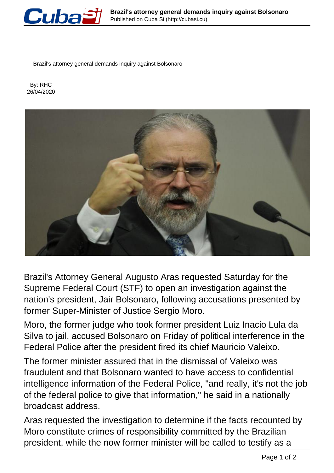

Brazil's attorney general demands inquiry against Bolsonaro

 By: RHC 26/04/2020



Brazil's Attorney General Augusto Aras requested Saturday for the Supreme Federal Court (STF) to open an investigation against the nation's president, Jair Bolsonaro, following accusations presented by former Super-Minister of Justice Sergio Moro.

Moro, the former judge who took former president Luiz Inacio Lula da Silva to jail, accused Bolsonaro on Friday of political interference in the Federal Police after the president fired its chief Mauricio Valeixo.

The former minister assured that in the dismissal of Valeixo was fraudulent and that Bolsonaro wanted to have access to confidential intelligence information of the Federal Police, "and really, it's not the job of the federal police to give that information," he said in a nationally broadcast address.

Aras requested the investigation to determine if the facts recounted by Moro constitute crimes of responsibility committed by the Brazilian president, while the now former minister will be called to testify as a